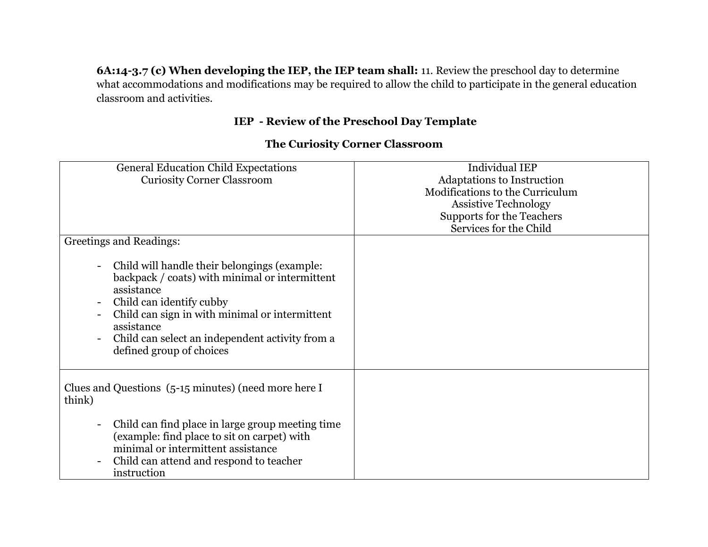**6A:14-3.7 (c) When developing the IEP, the IEP team shall:** 11. Review the preschool day to determine what accommodations and modifications may be required to allow the child to participate in the general education classroom and activities.

## **IEP - Review of the Preschool Day Template**

## General Education Child Expectations Curiosity Corner Classroom Individual IEP Adaptations to Instruction Modifications to the Curriculum Assistive Technology Supports for the Teachers Services for the Child Greetings and Readings: - Child will handle their belongings (example: backpack / coats) with minimal or intermittent assistance - Child can identify cubby - Child can sign in with minimal or intermittent assistance - Child can select an independent activity from a defined group of choices Clues and Questions (5-15 minutes) (need more here I think) - Child can find place in large group meeting time (example: find place to sit on carpet) with minimal or intermittent assistance - Child can attend and respond to teacher instruction

## **The Curiosity Corner Classroom**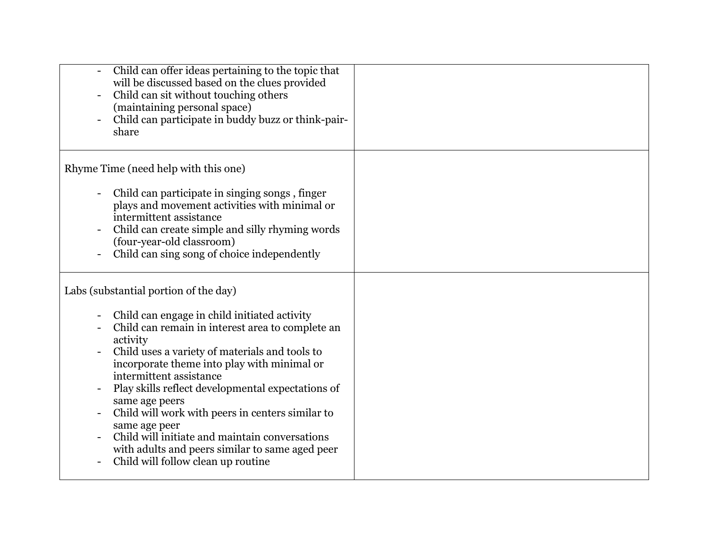| Child can offer ideas pertaining to the topic that<br>will be discussed based on the clues provided<br>Child can sit without touching others<br>(maintaining personal space)<br>Child can participate in buddy buzz or think-pair-<br>share                                                                                                                                                                                                                                                                                                                              |  |
|--------------------------------------------------------------------------------------------------------------------------------------------------------------------------------------------------------------------------------------------------------------------------------------------------------------------------------------------------------------------------------------------------------------------------------------------------------------------------------------------------------------------------------------------------------------------------|--|
| Rhyme Time (need help with this one)<br>Child can participate in singing songs, finger<br>plays and movement activities with minimal or<br>intermittent assistance<br>Child can create simple and silly rhyming words<br>(four-year-old classroom)<br>Child can sing song of choice independently                                                                                                                                                                                                                                                                        |  |
| Labs (substantial portion of the day)<br>Child can engage in child initiated activity<br>Child can remain in interest area to complete an<br>activity<br>Child uses a variety of materials and tools to<br>incorporate theme into play with minimal or<br>intermittent assistance<br>Play skills reflect developmental expectations of<br>same age peers<br>Child will work with peers in centers similar to<br>same age peer<br>Child will initiate and maintain conversations<br>with adults and peers similar to same aged peer<br>Child will follow clean up routine |  |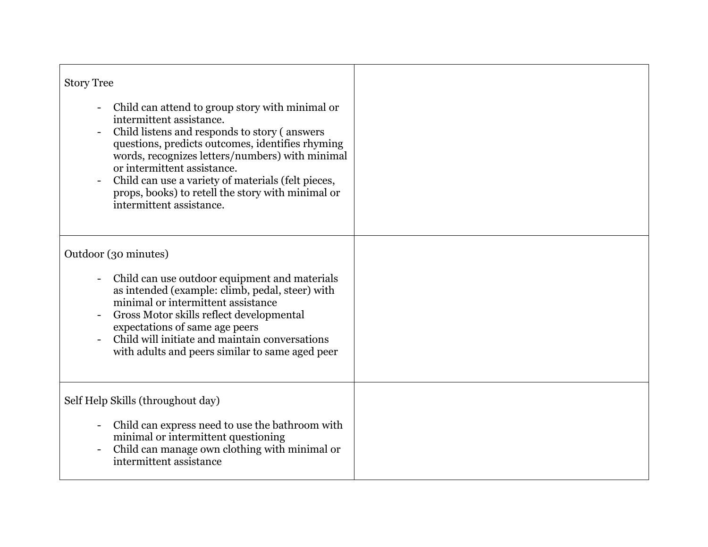| <b>Story Tree</b><br>Child can attend to group story with minimal or<br>intermittent assistance.<br>Child listens and responds to story (answers                                                                                                                                                                          |  |
|---------------------------------------------------------------------------------------------------------------------------------------------------------------------------------------------------------------------------------------------------------------------------------------------------------------------------|--|
| questions, predicts outcomes, identifies rhyming<br>words, recognizes letters/numbers) with minimal<br>or intermittent assistance.<br>Child can use a variety of materials (felt pieces,<br>props, books) to retell the story with minimal or<br>intermittent assistance.                                                 |  |
| Outdoor (30 minutes)                                                                                                                                                                                                                                                                                                      |  |
| Child can use outdoor equipment and materials<br>as intended (example: climb, pedal, steer) with<br>minimal or intermittent assistance<br>Gross Motor skills reflect developmental<br>expectations of same age peers<br>Child will initiate and maintain conversations<br>with adults and peers similar to same aged peer |  |
| Self Help Skills (throughout day)                                                                                                                                                                                                                                                                                         |  |
| Child can express need to use the bathroom with<br>minimal or intermittent questioning<br>Child can manage own clothing with minimal or<br>intermittent assistance                                                                                                                                                        |  |